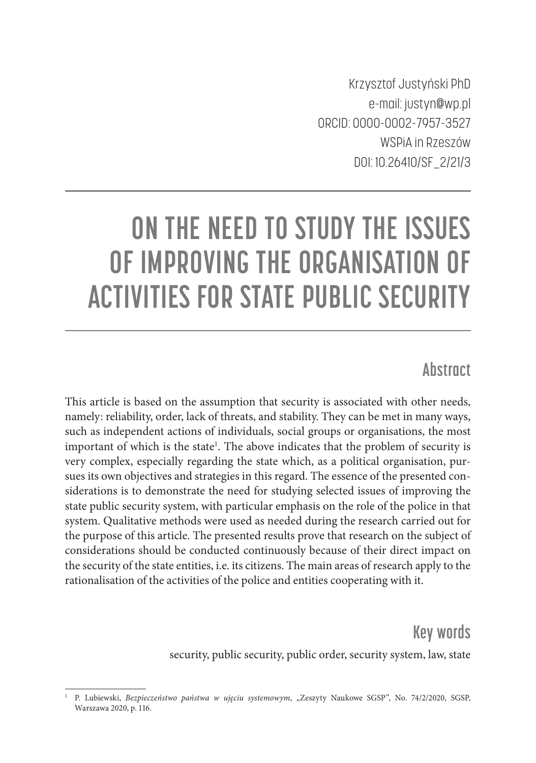Krzysztof Justyński PhD e-mail: justyn@wp.pl ORCID: 0000-0002-7957-3527 WSPiA in Rzeszów DOI: 10.26410/SF\_2/21/3

# **ON THE NEED TO STUDY THE ISSUES OF IMPROVING THE ORGANISATION OF ACTIVITIES FOR STATE PUBLIC SECURITY**

## **Abstract**

This article is based on the assumption that security is associated with other needs, namely: reliability, order, lack of threats, and stability. They can be met in many ways, such as independent actions of individuals, social groups or organisations, the most important of which is the state<sup>1</sup>. The above indicates that the problem of security is very complex, especially regarding the state which, as a political organisation, pursues its own objectives and strategies in this regard. The essence of the presented considerations is to demonstrate the need for studying selected issues of improving the state public security system, with particular emphasis on the role of the police in that system. Qualitative methods were used as needed during the research carried out for the purpose of this article. The presented results prove that research on the subject of considerations should be conducted continuously because of their direct impact on the security of the state entities, i.e. its citizens. The main areas of research apply to the rationalisation of the activities of the police and entities cooperating with it.

> **Key words**  security, public security, public order, security system, law, state

<sup>&</sup>lt;sup>1</sup> P. Lubiewski, *Bezpieczeństwo państwa w ujęciu systemowym*, "Zeszyty Naukowe SGSP", No. 74/2/2020, SGSP, Warszawa 2020, p. 116.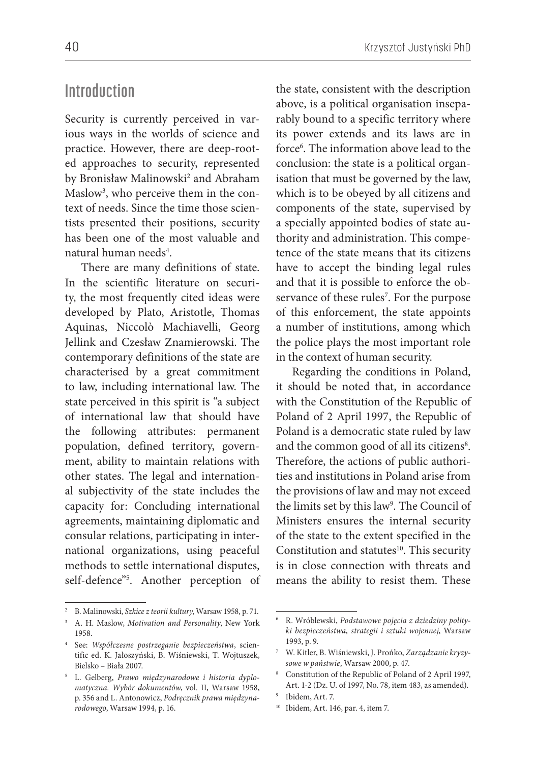#### **Introduction**

Security is currently perceived in various ways in the worlds of science and practice. However, there are deep-rooted approaches to security, represented by Bronisław Malinowski<sup>2</sup> and Abraham Maslow3 , who perceive them in the context of needs. Since the time those scientists presented their positions, security has been one of the most valuable and natural human needs<sup>4</sup>.

There are many definitions of state. In the scientific literature on security, the most frequently cited ideas were developed by Plato, Aristotle, Thomas Aquinas, Niccolò Machiavelli, Georg Jellink and Czesław Znamierowski. The contemporary definitions of the state are characterised by a great commitment to law, including international law. The state perceived in this spirit is "a subject of international law that should have the following attributes: permanent population, defined territory, government, ability to maintain relations with other states. The legal and international subjectivity of the state includes the capacity for: Concluding international agreements, maintaining diplomatic and consular relations, participating in international organizations, using peaceful methods to settle international disputes, self-defence"5 . Another perception of the state, consistent with the description above, is a political organisation inseparably bound to a specific territory where its power extends and its laws are in force6 . The information above lead to the conclusion: the state is a political organisation that must be governed by the law, which is to be obeyed by all citizens and components of the state, supervised by a specially appointed bodies of state authority and administration. This competence of the state means that its citizens have to accept the binding legal rules and that it is possible to enforce the observance of these rules<sup>7</sup>. For the purpose of this enforcement, the state appoints a number of institutions, among which the police plays the most important role in the context of human security.

Regarding the conditions in Poland, it should be noted that, in accordance with the Constitution of the Republic of Poland of 2 April 1997, the Republic of Poland is a democratic state ruled by law and the common good of all its citizens<sup>8</sup>. Therefore, the actions of public authorities and institutions in Poland arise from the provisions of law and may not exceed the limits set by this law<sup>9</sup>. The Council of Ministers ensures the internal security of the state to the extent specified in the Constitution and statutes<sup>10</sup>. This security is in close connection with threats and means the ability to resist them. These

<sup>2</sup> B. Malinowski, *Szkice z teorii kultury*, Warsaw 1958, p. 71.

<sup>3</sup> A. H. Maslow, *Motivation and Personality*, New York 1958.

<sup>4</sup> See: *Współczesne postrzeganie bezpieczeństwa*, scientific ed. K. Jałoszyński, B. Wiśniewski, T. Wojtuszek, Bielsko – Biała 2007.

<sup>5</sup> L. Gelberg, *Prawo międzynarodowe i historia dyplomatyczna. Wybór dokumentów*, vol. II, Warsaw 1958, p. 356 and L. Antonowicz, *Podręcznik prawa międzynarodowego*, Warsaw 1994, p. 16.

<sup>6</sup> R. Wróblewski, *Podstawowe pojęcia z dziedziny polityki bezpieczeństwa, strategii i sztuki wojennej*, Warsaw 1993, p. 9.

<sup>7</sup> W. Kitler, B. Wiśniewski, J. Prońko, *Zarządzanie kryzysowe w państwie*, Warsaw 2000, p. 47.

<sup>8</sup> Constitution of the Republic of Poland of 2 April 1997, Art. 1-2 (Dz. U. of 1997, No. 78, item 483, as amended).

<sup>9</sup> Ibidem, Art. 7.

<sup>10</sup> Ibidem, Art. 146, par. 4, item 7.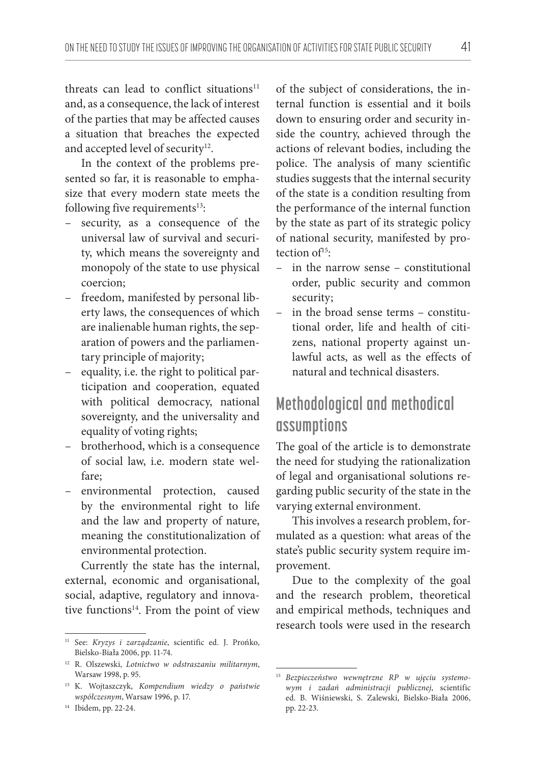threats can lead to conflict situations<sup>11</sup> and, as a consequence, the lack of interest of the parties that may be affected causes a situation that breaches the expected and accepted level of security<sup>12</sup>.

In the context of the problems presented so far, it is reasonable to emphasize that every modern state meets the following five requirements $13$ :

- security, as a consequence of the universal law of survival and security, which means the sovereignty and monopoly of the state to use physical coercion;
- freedom, manifested by personal liberty laws, the consequences of which are inalienable human rights, the separation of powers and the parliamentary principle of majority;
- equality, i.e. the right to political participation and cooperation, equated with political democracy, national sovereignty, and the universality and equality of voting rights;
- brotherhood, which is a consequence of social law, i.e. modern state welfare;
- environmental protection, caused by the environmental right to life and the law and property of nature, meaning the constitutionalization of environmental protection.

Currently the state has the internal, external, economic and organisational, social, adaptive, regulatory and innovative functions<sup>14</sup>. From the point of view of the subject of considerations, the internal function is essential and it boils down to ensuring order and security inside the country, achieved through the actions of relevant bodies, including the police. The analysis of many scientific studies suggests that the internal security of the state is a condition resulting from the performance of the internal function by the state as part of its strategic policy of national security, manifested by protection  $of<sup>15</sup>$ :

- in the narrow sense constitutional order, public security and common security;
- in the broad sense terms constitutional order, life and health of citizens, national property against unlawful acts, as well as the effects of natural and technical disasters.

# **Methodological and methodical assumptions**

The goal of the article is to demonstrate the need for studying the rationalization of legal and organisational solutions regarding public security of the state in the varying external environment.

This involves a research problem, formulated as a question: what areas of the state's public security system require improvement.

Due to the complexity of the goal and the research problem, theoretical and empirical methods, techniques and research tools were used in the research

<sup>11</sup> See: *Kryzys i zarządzanie*, scientific ed. J. Prońko, Bielsko-Biała 2006, pp. 11-74.

<sup>12</sup> R. Olszewski, *Lotnictwo w odstraszaniu militarnym*, Warsaw 1998, p. 95.

<sup>13</sup> K. Wojtaszczyk, *Kompendium wiedzy o państwie współczesnym*, Warsaw 1996, p. 17.

<sup>14</sup> Ibidem, pp. 22-24.

<sup>15</sup> *Bezpieczeństwo wewnętrzne RP w ujęciu systemowym i zadań administracji publicznej*, scientific ed. B. Wiśniewski, S. Zalewski, Bielsko-Biała 2006, pp. 22-23.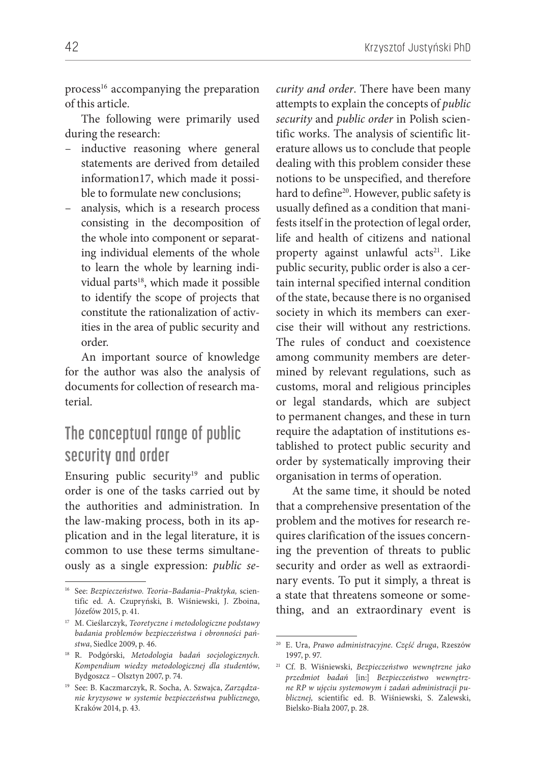process<sup>16</sup> accompanying the preparation of this article.

The following were primarily used during the research:

- inductive reasoning where general statements are derived from detailed information17, which made it possible to formulate new conclusions;
- analysis, which is a research process consisting in the decomposition of the whole into component or separating individual elements of the whole to learn the whole by learning individual parts<sup>18</sup>, which made it possible to identify the scope of projects that constitute the rationalization of activities in the area of public security and order.

An important source of knowledge for the author was also the analysis of documents for collection of research material.

## **The conceptual range of public security and order**

Ensuring public security $19$  and public order is one of the tasks carried out by the authorities and administration. In the law-making process, both in its application and in the legal literature, it is common to use these terms simultaneously as a single expression: *public se-* *curity and order*. There have been many attempts to explain the concepts of *public security* and *public order* in Polish scientific works. The analysis of scientific literature allows us to conclude that people dealing with this problem consider these notions to be unspecified, and therefore hard to define<sup>20</sup>. However, public safety is usually defined as a condition that manifests itself in the protection of legal order, life and health of citizens and national property against unlawful acts<sup>21</sup>. Like public security, public order is also a certain internal specified internal condition of the state, because there is no organised society in which its members can exercise their will without any restrictions. The rules of conduct and coexistence among community members are determined by relevant regulations, such as customs, moral and religious principles or legal standards, which are subject to permanent changes, and these in turn require the adaptation of institutions established to protect public security and order by systematically improving their organisation in terms of operation.

At the same time, it should be noted that a comprehensive presentation of the problem and the motives for research requires clarification of the issues concerning the prevention of threats to public security and order as well as extraordinary events. To put it simply, a threat is a state that threatens someone or something, and an extraordinary event is

<sup>16</sup> See: *Bezpieczeństwo. Teoria–Badania–Praktyka,* scientific ed. A. Czupryński, B. Wiśniewski, J. Zboina, Józefów 2015, p. 41.

<sup>17</sup> M. Cieślarczyk, *Teoretyczne i metodologiczne podstawy badania problemów bezpieczeństwa i obronności państwa*, Siedlce 2009, p. 46.

<sup>18</sup> R. Podgórski, *Metodologia badań socjologicznych. Kompendium wiedzy metodologicznej dla studentów*, Bydgoszcz – Olsztyn 2007, p. 74.

<sup>19</sup> See: B. Kaczmarczyk, R. Socha, A. Szwajca, *Zarządzanie kryzysowe w systemie bezpieczeństwa publicznego*, Kraków 2014, p. 43.

<sup>20</sup> E. Ura, *Prawo administracyjne. Część druga*, Rzeszów 1997, p. 97.

<sup>21</sup> Cf. B. Wiśniewski, *Bezpieczeństwo wewnętrzne jako przedmiot badań* [in:] *Bezpieczeństwo wewnętrzne RP w ujęciu systemowym i zadań administracji publicznej,* scientific ed. B. Wiśniewski, S. Zalewski, Bielsko-Biała 2007, p. 28.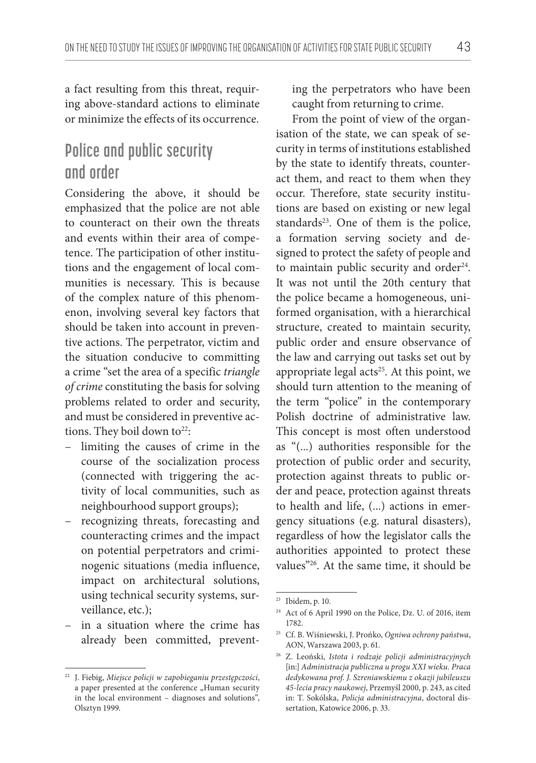a fact resulting from this threat, requiring above-standard actions to eliminate or minimize the effects of its occurrence.

# **Police and public security and order**

Considering the above, it should be emphasized that the police are not able to counteract on their own the threats and events within their area of competence. The participation of other institutions and the engagement of local communities is necessary. This is because of the complex nature of this phenomenon, involving several key factors that should be taken into account in preventive actions. The perpetrator, victim and the situation conducive to committing a crime "set the area of a specific *triangle of crime* constituting the basis for solving problems related to order and security, and must be considered in preventive actions. They boil down to<sup>22</sup>:

- limiting the causes of crime in the course of the socialization process (connected with triggering the activity of local communities, such as neighbourhood support groups);
- recognizing threats, forecasting and counteracting crimes and the impact on potential perpetrators and criminogenic situations (media influence, impact on architectural solutions, using technical security systems, surveillance, etc.);
- in a situation where the crime has already been committed, prevent-

ing the perpetrators who have been caught from returning to crime.

From the point of view of the organisation of the state, we can speak of security in terms of institutions established by the state to identify threats, counteract them, and react to them when they occur. Therefore, state security institutions are based on existing or new legal standards<sup>23</sup>. One of them is the police, a formation serving society and designed to protect the safety of people and to maintain public security and order<sup>24</sup>. It was not until the 20th century that the police became a homogeneous, uniformed organisation, with a hierarchical structure, created to maintain security, public order and ensure observance of the law and carrying out tasks set out by appropriate legal  $acts<sup>25</sup>$ . At this point, we should turn attention to the meaning of the term "police" in the contemporary Polish doctrine of administrative law. This concept is most often understood as "(...) authorities responsible for the protection of public order and security, protection against threats to public order and peace, protection against threats to health and life, (...) actions in emergency situations (e.g. natural disasters), regardless of how the legislator calls the authorities appointed to protect these values"26. At the same time, it should be

<sup>22</sup> J. Fiebig, *Miejsce policji w zapobieganiu przestępczości*, a paper presented at the conference "Human security in the local environment – diagnoses and solutions", Olsztyn 1999.

<sup>23</sup> Ibidem, p. 10.

<sup>24</sup> Act of 6 April 1990 on the Police, Dz. U. of 2016, item 1782.

<sup>25</sup> Cf. B. Wiśniewski, J. Prońko, *Ogniwa ochrony państwa*, AON, Warszawa 2003, p. 61.

<sup>26</sup> Z. Leoński, *Istota i rodzaje policji administracyjnych* [in:] *Administracja publiczna u progu XXI wieku. Praca dedykowana prof. J. Szreniawskiemu z okazji jubileuszu 45-lecia pracy naukowej*, Przemyśl 2000, p. 243, as cited in: T. Sokólska, *Policja administracyjna*, doctoral dissertation, Katowice 2006, p. 33.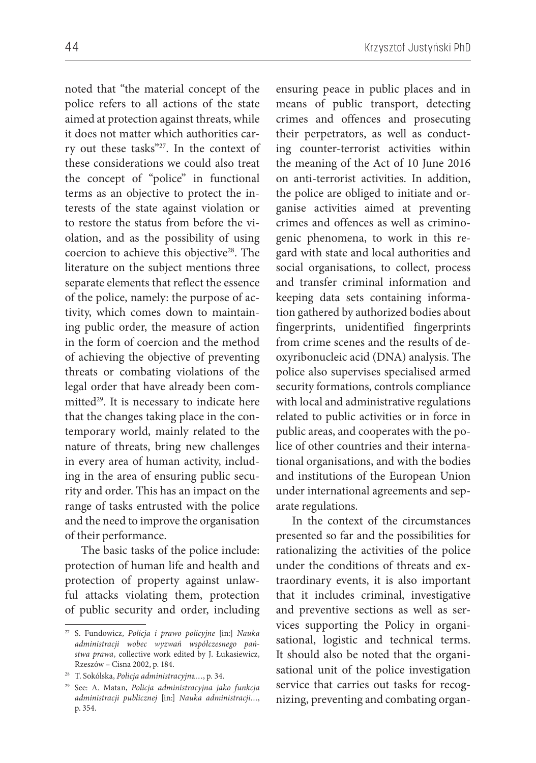noted that "the material concept of the police refers to all actions of the state aimed at protection against threats, while it does not matter which authorities carry out these tasks"27. In the context of these considerations we could also treat the concept of "police" in functional terms as an objective to protect the interests of the state against violation or to restore the status from before the violation, and as the possibility of using coercion to achieve this objective<sup>28</sup>. The literature on the subject mentions three separate elements that reflect the essence of the police, namely: the purpose of activity, which comes down to maintaining public order, the measure of action in the form of coercion and the method of achieving the objective of preventing threats or combating violations of the legal order that have already been committed<sup>29</sup>. It is necessary to indicate here that the changes taking place in the contemporary world, mainly related to the nature of threats, bring new challenges in every area of human activity, including in the area of ensuring public security and order. This has an impact on the range of tasks entrusted with the police and the need to improve the organisation of their performance.

The basic tasks of the police include: protection of human life and health and protection of property against unlawful attacks violating them, protection of public security and order, including

ensuring peace in public places and in means of public transport, detecting crimes and offences and prosecuting their perpetrators, as well as conducting counter-terrorist activities within the meaning of the Act of 10 June 2016 on anti-terrorist activities. In addition, the police are obliged to initiate and organise activities aimed at preventing crimes and offences as well as criminogenic phenomena, to work in this regard with state and local authorities and social organisations, to collect, process and transfer criminal information and keeping data sets containing information gathered by authorized bodies about fingerprints, unidentified fingerprints from crime scenes and the results of deoxyribonucleic acid (DNA) analysis. The police also supervises specialised armed security formations, controls compliance with local and administrative regulations related to public activities or in force in public areas, and cooperates with the police of other countries and their international organisations, and with the bodies and institutions of the European Union under international agreements and separate regulations.

In the context of the circumstances presented so far and the possibilities for rationalizing the activities of the police under the conditions of threats and extraordinary events, it is also important that it includes criminal, investigative and preventive sections as well as services supporting the Policy in organisational, logistic and technical terms. It should also be noted that the organisational unit of the police investigation service that carries out tasks for recognizing, preventing and combating organ-

<sup>27</sup> S. Fundowicz, *Policja i prawo policyjne* [in:] *Nauka administracji wobec wyzwań współczesnego państwa prawa*, collective work edited by J. Łukasiewicz, Rzeszów – Cisna 2002, p. 184.

<sup>28</sup> T. Sokólska, *Policja administracyjn*a…, p. 34.

<sup>29</sup> See: A. Matan, *Policja administracyjna jako funkcja administracji publicznej* [in:] *Nauka administracji…*, p. 354.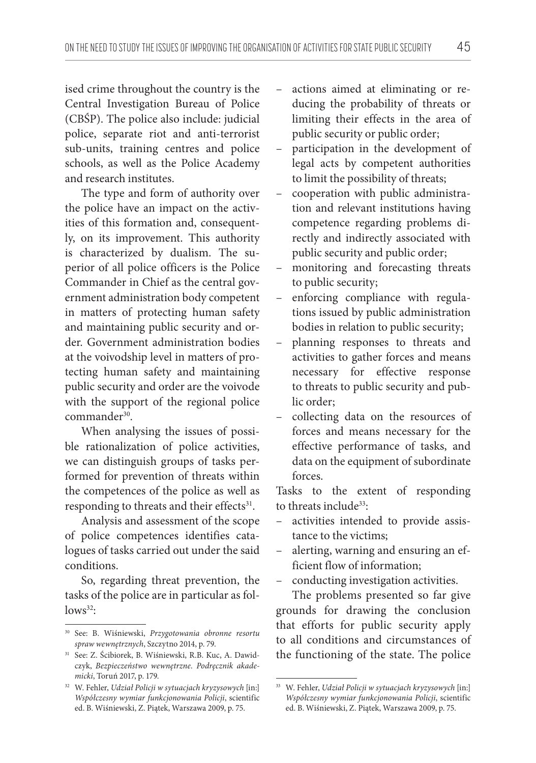ised crime throughout the country is the Central Investigation Bureau of Police (CBŚP). The police also include: judicial police, separate riot and anti-terrorist sub-units, training centres and police schools, as well as the Police Academy and research institutes.

The type and form of authority over the police have an impact on the activities of this formation and, consequently, on its improvement. This authority is characterized by dualism. The superior of all police officers is the Police Commander in Chief as the central government administration body competent in matters of protecting human safety and maintaining public security and order. Government administration bodies at the voivodship level in matters of protecting human safety and maintaining public security and order are the voivode with the support of the regional police commander<sup>30</sup>.

When analysing the issues of possible rationalization of police activities, we can distinguish groups of tasks performed for prevention of threats within the competences of the police as well as responding to threats and their effects<sup>31</sup>.

Analysis and assessment of the scope of police competences identifies catalogues of tasks carried out under the said conditions.

So, regarding threat prevention, the tasks of the police are in particular as fol $lows<sup>32</sup>$ :

- actions aimed at eliminating or reducing the probability of threats or limiting their effects in the area of public security or public order;
- participation in the development of legal acts by competent authorities to limit the possibility of threats;
- cooperation with public administration and relevant institutions having competence regarding problems directly and indirectly associated with public security and public order;
- monitoring and forecasting threats to public security;
- enforcing compliance with regulations issued by public administration bodies in relation to public security;
- planning responses to threats and activities to gather forces and means necessary for effective response to threats to public security and public order;
- collecting data on the resources of forces and means necessary for the effective performance of tasks, and data on the equipment of subordinate forces.

Tasks to the extent of responding to threats include<sup>33</sup>:

- activities intended to provide assistance to the victims;
- alerting, warning and ensuring an efficient flow of information;
- conducting investigation activities.

The problems presented so far give grounds for drawing the conclusion that efforts for public security apply to all conditions and circumstances of the functioning of the state. The police

<sup>30</sup> See: B. Wiśniewski, *Przygotowania obronne resortu spraw wewnętrznych*, Szczytno 2014, p. 79.

<sup>31</sup> See: Z. Ścibiorek, B. Wiśniewski, R.B. Kuc, A. Dawidczyk, *Bezpieczeństwo wewnętrzne. Podręcznik akademicki*, Toruń 2017, p. 179.

<sup>32</sup> W. Fehler, *Udział Policji w sytuacjach kryzysowych* [in:] *Współczesny wymiar funkcjonowania Policji*, scientific ed. B. Wiśniewski, Z. Piątek, Warszawa 2009, p. 75.

<sup>33</sup> W. Fehler, *Udział Policji w sytuacjach kryzysowych* [in:] *Współczesny wymiar funkcjonowania Policji*, scientific ed. B. Wiśniewski, Z. Piątek, Warszawa 2009, p. 75.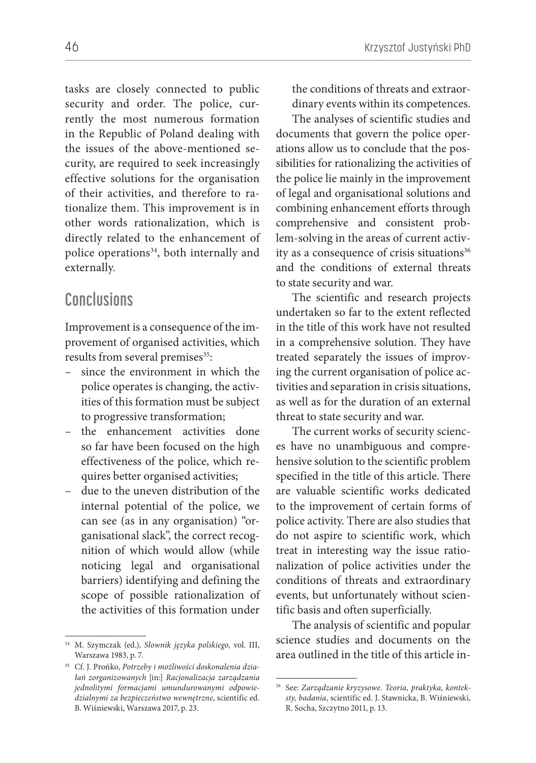tasks are closely connected to public security and order. The police, currently the most numerous formation in the Republic of Poland dealing with the issues of the above-mentioned security, are required to seek increasingly effective solutions for the organisation of their activities, and therefore to rationalize them. This improvement is in other words rationalization, which is directly related to the enhancement of police operations<sup>34</sup>, both internally and externally.

#### **Conclusions**

Improvement is a consequence of the improvement of organised activities, which results from several premises<sup>35</sup>:

- since the environment in which the police operates is changing, the activities of this formation must be subject to progressive transformation;
- the enhancement activities done so far have been focused on the high effectiveness of the police, which requires better organised activities;
- due to the uneven distribution of the internal potential of the police, we can see (as in any organisation) "organisational slack", the correct recognition of which would allow (while noticing legal and organisational barriers) identifying and defining the scope of possible rationalization of the activities of this formation under

46 Krzysztof Justyński PhD

the conditions of threats and extraordinary events within its competences.

The analyses of scientific studies and documents that govern the police operations allow us to conclude that the possibilities for rationalizing the activities of the police lie mainly in the improvement of legal and organisational solutions and combining enhancement efforts through comprehensive and consistent problem-solving in the areas of current activity as a consequence of crisis situations<sup>36</sup> and the conditions of external threats to state security and war.

The scientific and research projects undertaken so far to the extent reflected in the title of this work have not resulted in a comprehensive solution. They have treated separately the issues of improving the current organisation of police activities and separation in crisis situations, as well as for the duration of an external threat to state security and war.

The current works of security sciences have no unambiguous and comprehensive solution to the scientific problem specified in the title of this article. There are valuable scientific works dedicated to the improvement of certain forms of police activity. There are also studies that do not aspire to scientific work, which treat in interesting way the issue rationalization of police activities under the conditions of threats and extraordinary events, but unfortunately without scientific basis and often superficially.

The analysis of scientific and popular science studies and documents on the area outlined in the title of this article in-

<sup>34</sup> M. Szymczak (ed.), *Słownik języka polskiego,* vol. III, Warszawa 1983, p. 7.

<sup>35</sup> Cf. J. Prońko, *Potrzeby i możliwości doskonalenia działań zorganizowanych* [in:] *Racjonalizacja zarządzania jednolitymi formacjami umundurowanymi odpowiedzialnymi za bezpieczeństwo wewnętrzne*, scientific ed. B. Wiśniewski, Warszawa 2017, p. 23.

<sup>36</sup> See: *Zarządzanie kryzysowe. Teoria, praktyka, konteksty, badania*, scientific ed. J. Stawnicka, B. Wiśniewski, R. Socha, Szczytno 2011, p. 13.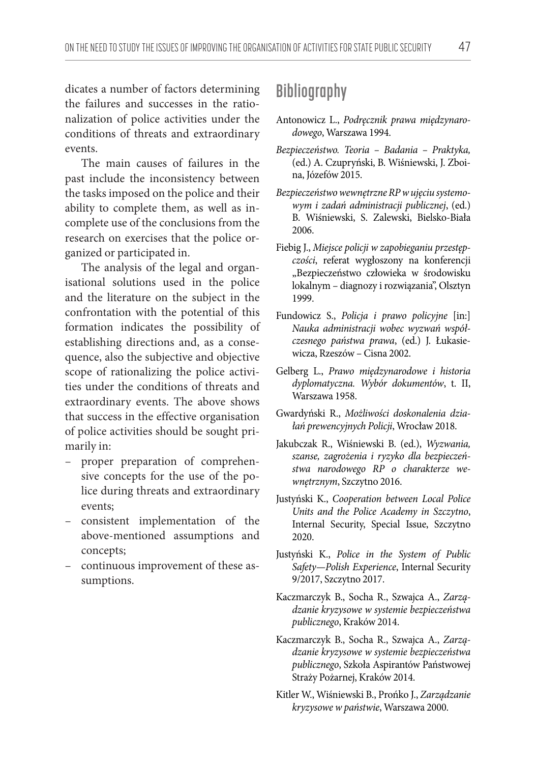dicates a number of factors determining the failures and successes in the rationalization of police activities under the conditions of threats and extraordinary events.

The main causes of failures in the past include the inconsistency between the tasks imposed on the police and their ability to complete them, as well as incomplete use of the conclusions from the research on exercises that the police organized or participated in.

The analysis of the legal and organisational solutions used in the police and the literature on the subject in the confrontation with the potential of this formation indicates the possibility of establishing directions and, as a consequence, also the subjective and objective scope of rationalizing the police activities under the conditions of threats and extraordinary events. The above shows that success in the effective organisation of police activities should be sought primarily in:

- proper preparation of comprehensive concepts for the use of the police during threats and extraordinary events;
- consistent implementation of the above-mentioned assumptions and concepts;
- continuous improvement of these assumptions.

## **Bibliography**

- Antonowicz L., *Podręcznik prawa międzynarodowego*, Warszawa 1994.
- *Bezpieczeństwo. Teoria Badania Praktyka,*  (ed.) A. Czupryński, B. Wiśniewski, J. Zboina, Józefów 2015.
- *Bezpieczeństwo wewnętrzne RP w ujęciu systemowym i zadań administracji publicznej*, (ed.) B. Wiśniewski, S. Zalewski, Bielsko-Biała 2006.
- Fiebig J., *Miejsce policji w zapobieganiu przestępczości*, referat wygłoszony na konferencji "Bezpieczeństwo człowieka w środowisku lokalnym – diagnozy i rozwiązania", Olsztyn 1999.
- Fundowicz S., *Policja i prawo policyjne* [in:] *Nauka administracji wobec wyzwań współczesnego państwa prawa*, (ed.) J. Łukasiewicza, Rzeszów – Cisna 2002.
- Gelberg L., *Prawo międzynarodowe i historia dyplomatyczna. Wybór dokumentów*, t. II, Warszawa 1958.
- Gwardyński R., *Możliwości doskonalenia działań prewencyjnych Policji*, Wrocław 2018.
- Jakubczak R., Wiśniewski B. (ed.), *Wyzwania, szanse, zagrożenia i ryzyko dla bezpieczeństwa narodowego RP o charakterze wewnętrznym*, Szczytno 2016.
- Justyński K., *Cooperation between Local Police Units and the Police Academy in Szczytno*, Internal Security, Special Issue, Szczytno 2020.
- Justyński K., *Police in the System of Public Safety—Polish Experience*, Internal Security 9/2017, Szczytno 2017.
- Kaczmarczyk B., Socha R., Szwajca A., *Zarządzanie kryzysowe w systemie bezpieczeństwa publicznego*, Kraków 2014.
- Kaczmarczyk B., Socha R., Szwajca A., *Zarządzanie kryzysowe w systemie bezpieczeństwa publicznego*, Szkoła Aspirantów Państwowej Straży Pożarnej, Kraków 2014.
- Kitler W., Wiśniewski B., Prońko J., *Zarządzanie kryzysowe w państwie*, Warszawa 2000.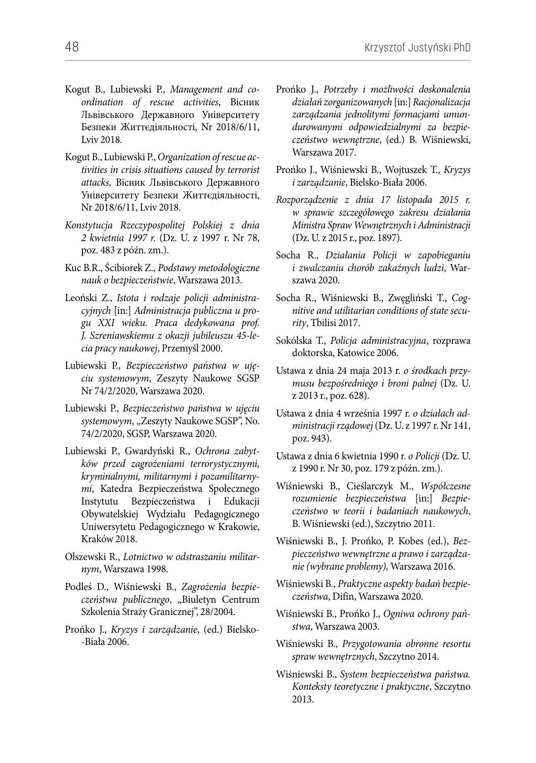- Kogut B., Lubiewski P., *Management and coordination of rescue activities*, Вісник Львівського Державного Університету Безпеки Життєдіяльності, Nr 2018/6/11, Lviv 2018.
- Kogut B., Lubiewski P., *Organization of rescue activities in crisis situations caused by terrorist attacks*, Вісник Львівського Державного Університету Безпеки Життєдіяльності, Nr 2018/6/11, Lviv 2018.
- *Konstytucja Rzeczypospolitej Polskiej z dnia 2 kwietnia 1997 r.* (Dz. U. z 1997 r. Nr 78, poz. 483 z późn. zm.).
- Kuc B.R., Ścibiorek Z., *Podstawy metodologiczne nauk o bezpieczeństwie*, Warszawa 2013.
- Leoński Z., *Istota i rodzaje policji administracyjnych* [in:] *Administracja publiczna u progu XXI wieku. Praca dedykowana prof. J. Szreniawskiemu z okazji jubileuszu 45-lecia pracy naukowej*, Przemyśl 2000.
- Lubiewski P., *Bezpieczeństwo państwa w ujęciu systemowym*, Zeszyty Naukowe SGSP Nr 74/2/2020, Warszawa 2020.
- Lubiewski P., *Bezpieczeństwo państwa w ujęciu*  systemowym, "Zeszyty Naukowe SGSP", No. 74/2/2020, SGSP, Warszawa 2020.
- Lubiewski P., Gwardyński R., *Ochrona zabytków przed zagrożeniami terrorystycznymi, kryminalnymi, militarnymi i pozamilitarnymi*, Katedra Bezpieczeństwa Społecznego Instytutu Bezpieczeństwa i Edukacji Obywatelskiej Wydziału Pedagogicznego Uniwersytetu Pedagogicznego w Krakowie, Kraków 2018.
- Olszewski R., *Lotnictwo w odstraszaniu militarnym*, Warszawa 1998.
- Podleś D., Wiśniewski B., *Zagrożenia bezpieczeństwa publicznego*, "Biuletyn Centrum Szkolenia Straży Granicznej", 28/2004.
- Prońko J., *Kryzys i zarządzanie*, (ed.) Bielsko- -Biała 2006.
- Prońko J., *Potrzeby i możliwości doskonalenia działań zorganizowanych* [in:] *Racjonalizacja zarządzania jednolitymi formacjami umundurowanymi odpowiedzialnymi za bezpieczeństwo wewnętrzne*, (ed.) B. Wiśniewski, Warszawa 2017.
- Prońko J., Wiśniewski B., Wojtuszek T., *Kryzys i zarządzanie*, Bielsko-Biała 2006.
- *Rozporządzenie z dnia 17 listopada 2015 r. w sprawie szczegółowego zakresu działania Ministra Spraw Wewnętrznych i Administracji* (Dz. U. z 2015 r., poz. 1897).
- Socha R., *Działania Policji w zapobieganiu i zwalczaniu chorób zakaźnych ludzi*, Warszawa 2020.
- Socha R., Wiśniewski B., Zwęgliński T., *Cognitive and utilitarian conditions of state security*, Tbilisi 2017.
- Sokólska T., *Policja administracyjna*, rozprawa doktorska, Katowice 2006.
- Ustawa z dnia 24 maja 2013 r. *o środkach przymusu bezpośredniego i broni palnej* (Dz. U. z 2013 r., poz. 628).
- Ustawa z dnia 4 września 1997 r. *o działach administracji rządowej* (Dz. U. z 1997 r. Nr 141, poz. 943).
- Ustawa z dnia 6 kwietnia 1990 r. *o Policji* (Dz. U. z 1990 r. Nr 30, poz. 179 z późn. zm.).
- Wiśniewski B., Cieślarczyk M., *Współczesne rozumienie bezpieczeństwa* [in:] *Bezpieczeństwo w teorii i badaniach naukowych*, B. Wiśniewski (ed.), Szczytno 2011.
- Wiśniewski B., J. Prońko, P. Kobes (ed.), *Bezpieczeństwo wewnętrzne a prawo i zarządzanie (wybrane problemy),* Warszawa 2016.
- Wiśniewski B., *Praktyczne aspekty badań bezpieczeństwa*, Difin, Warszawa 2020.
- Wiśniewski B., Prońko J., *Ogniwa ochrony państwa*, Warszawa 2003.
- Wiśniewski B., *Przygotowania obronne resortu spraw wewnętrznych*, Szczytno 2014.
- Wiśniewski B., *System bezpieczeństwa państwa. Konteksty teoretyczne i praktyczne*, Szczytno 2013.